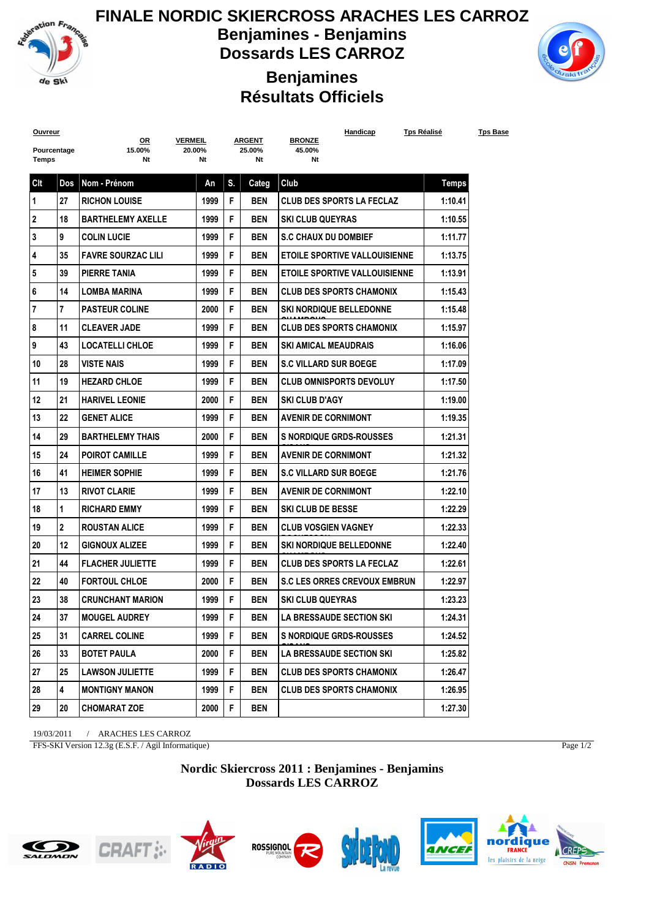

**FINALE NORDIC SKIERCROSS ARACHES LES CARROZ Benjamines - Benjamins**

**Dossards LES CARROZ**



## **Benjamines Résultats Officiels**

| <b>Ouvreur</b> |                | <u>OR</u>                 | <b>VERMEIL</b> |    | <u>ARGENT</u> | Handicap<br><b>BRONZE</b>             | <u>Tps Réalisé</u> | <b>Tps Base</b> |
|----------------|----------------|---------------------------|----------------|----|---------------|---------------------------------------|--------------------|-----------------|
| Pourcentage    |                | 15.00%                    | 20.00%         |    | 25.00%        | 45.00%                                |                    |                 |
| Temps          |                | Nt                        | Nt             |    | Nt            | Nt                                    |                    |                 |
| Clt            | Dos            | Nom - Prénom              | An             | S. | Categ         | Club                                  | <b>Temps</b>       |                 |
| 1              | 27             | <b>RICHON LOUISE</b>      | 1999           | F  | <b>BEN</b>    | <b>CLUB DES SPORTS LA FECLAZ</b>      | 1:10.41            |                 |
| 2              | 18             | <b>BARTHELEMY AXELLE</b>  | 1999           | F  | <b>BEN</b>    | <b>SKI CLUB QUEYRAS</b>               | 1:10.55            |                 |
| 3              | 9              | <b>COLIN LUCIE</b>        | 1999           | F  | <b>BEN</b>    | <b>S.C CHAUX DU DOMBIEF</b>           | 1:11.77            |                 |
| 4              | 35             | <b>FAVRE SOURZAC LILI</b> | 1999           | F  | <b>BEN</b>    | <b>ETOILE SPORTIVE VALLOUISIENNE</b>  | 1:13.75            |                 |
| 5              | 39             | PIERRE TANIA              | 1999           | F  | <b>BEN</b>    | <b>ETOILE SPORTIVE VALLOUISIENNE</b>  | 1:13.91            |                 |
| 6              | 14             | <b>LOMBA MARINA</b>       | 1999           | F  | <b>BEN</b>    | <b>CLUB DES SPORTS CHAMONIX</b>       | 1:15.43            |                 |
| 7              | $\overline{7}$ | <b>PASTEUR COLINE</b>     | 2000           | F  | <b>BEN</b>    | <b><i>SKI NORDIQUE BELLEDONNE</i></b> | 1:15.48            |                 |
| 8              | 11             | <b>CLEAVER JADE</b>       | 1999           | F  | <b>BEN</b>    | <b>CLUB DES SPORTS CHAMONIX</b>       | 1:15.97            |                 |
| 9              | 43             | <b>LOCATELLI CHLOE</b>    | 1999           | F  | <b>BEN</b>    | <b>SKI AMICAL MEAUDRAIS</b>           | 1:16.06            |                 |
| 10             | 28             | <b>VISTE NAIS</b>         | 1999           | F  | <b>BEN</b>    | <b>S.C VILLARD SUR BOEGE</b>          | 1:17.09            |                 |
| 11             | 19             | <b>HEZARD CHLOE</b>       | 1999           | F  | <b>BEN</b>    | <b>CLUB OMNISPORTS DEVOLUY</b>        | 1:17.50            |                 |
| 12             | 21             | <b>HARIVEL LEONIE</b>     | 2000           | F  | <b>BEN</b>    | <b>SKI CLUB D'AGY</b>                 | 1:19.00            |                 |
| 13             | 22             | <b>GENET ALICE</b>        | 1999           | F  | <b>BEN</b>    | <b>AVENIR DE CORNIMONT</b>            | 1:19.35            |                 |
| 14             | 29             | <b>BARTHELEMY THAIS</b>   | 2000           | F  | <b>BEN</b>    | <b>S NORDIQUE GRDS-ROUSSES</b>        | 1:21.31            |                 |
| 15             | 24             | <b>POIROT CAMILLE</b>     | 1999           | F  | <b>BEN</b>    | <b>AVENIR DE CORNIMONT</b>            | 1:21.32            |                 |
| 16             | 41             | <b>HEIMER SOPHIE</b>      | 1999           | F  | <b>BEN</b>    | <b>S.C VILLARD SUR BOEGE</b>          | 1:21.76            |                 |
| 17             | 13             | <b>RIVOT CLARIE</b>       | 1999           | F  | <b>BEN</b>    | <b>AVENIR DE CORNIMONT</b>            | 1:22.10            |                 |
| 18             | 1              | <b>RICHARD EMMY</b>       | 1999           | F  | <b>BEN</b>    | <b>SKI CLUB DE BESSE</b>              | 1:22.29            |                 |
| 19             | $\overline{2}$ | <b>ROUSTAN ALICE</b>      | 1999           | F  | <b>BEN</b>    | <b>CLUB VOSGIEN VAGNEY</b>            | 1:22.33            |                 |
| 20             | 12             | <b>GIGNOUX ALIZEE</b>     | 1999           | F  | <b>BEN</b>    | <b><i>SKI NORDIQUE BELLEDONNE</i></b> | 1:22.40            |                 |
| 21             | 44             | <b>FLACHER JULIETTE</b>   | 1999           | F  | <b>BEN</b>    | <b>CLUB DES SPORTS LA FECLAZ</b>      | 1:22.61            |                 |
| 22             | 40             | <b>FORTOUL CHLOE</b>      | 2000           | F  | <b>BEN</b>    | <b>S.C LES ORRES CREVOUX EMBRUN</b>   | 1:22.97            |                 |
| 23             | 38             | <b>CRUNCHANT MARION</b>   | 1999           | F  | <b>BEN</b>    | <b>SKI CLUB QUEYRAS</b>               | 1:23.23            |                 |
| 24             | 37             | <b>MOUGEL AUDREY</b>      | 1999           | F  | <b>BEN</b>    | <b>LA BRESSAUDE SECTION SKI</b>       | 1:24.31            |                 |
| 25             | 31             | <b>CARREL COLINE</b>      | 1999           | F  | BEN           | <b>S NORDIQUE GRDS-ROUSSES</b>        | 1:24.52            |                 |
| 26             | 33             | <b>BOTET PAULA</b>        | 2000           | F  | BEN           | <b>LA BRESSAUDE SECTION SKI</b>       | 1:25.82            |                 |
| 27             | 25             | <b>LAWSON JULIETTE</b>    | 1999           | F  | BEN           | <b>CLUB DES SPORTS CHAMONIX</b>       | 1:26.47            |                 |
| 28             | 4              | <b>MONTIGNY MANON</b>     | 1999           | F  | BEN           | <b>CLUB DES SPORTS CHAMONIX</b>       | 1:26.95            |                 |
| 29             | 20             | <b>CHOMARAT ZOE</b>       | 2000           | F  | BEN           |                                       | 1:27.30            |                 |
|                |                |                           |                |    |               |                                       |                    |                 |

19/03/2011 / ARACHES LES CARROZ

FFS-SKI Version 12.3g (E.S.F. / Agil Informatique)

Page 1/2

**Nordic Skiercross 2011 : Benjamines - Benjamins Dossards LES CARROZ**